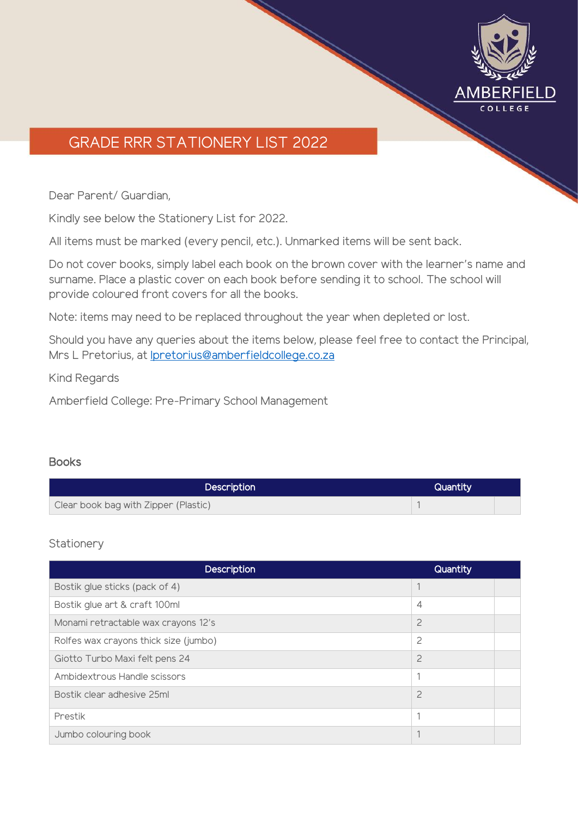

# GRADE RRR STATIONERY LIST 2022

Dear Parent/ Guardian,

Kindly see below the Stationery List for 2022.

All items must be marked (every pencil, etc.). Unmarked items will be sent back.

Do not cover books, simply label each book on the brown cover with the learner's name and surname. Place a plastic cover on each book before sending it to school. The school will provide coloured front covers for all the books.

Note: items may need to be replaced throughout the year when depleted or lost.

Should you have any queries about the items below, please feel free to contact the Principal, Mrs L Pretorius, at [lpretorius@amberfieldcollege.co.za](mailto:lpretorius@amberfieldcollege.co.za)

Kind Regards

Amberfield College: Pre-Primary School Management

### **Books**

| <b>Description</b>                   | Quantity |  |
|--------------------------------------|----------|--|
| Clear book bag with Zipper (Plastic) |          |  |

### **Stationery**

| <b>Description</b>                    | Quantity       |  |
|---------------------------------------|----------------|--|
| Bostik glue sticks (pack of 4)        |                |  |
| Bostik glue art & craft 100ml         | $\overline{4}$ |  |
| Monami retractable wax crayons 12's   | $\overline{c}$ |  |
| Rolfes wax crayons thick size (jumbo) | $\overline{c}$ |  |
| Giotto Turbo Maxi felt pens 24        | $\overline{c}$ |  |
| Ambidextrous Handle scissors          | ٠              |  |
| Bostik clear adhesive 25ml            | $\overline{c}$ |  |
| Prestik                               | ٠              |  |
| Jumbo colouring book                  |                |  |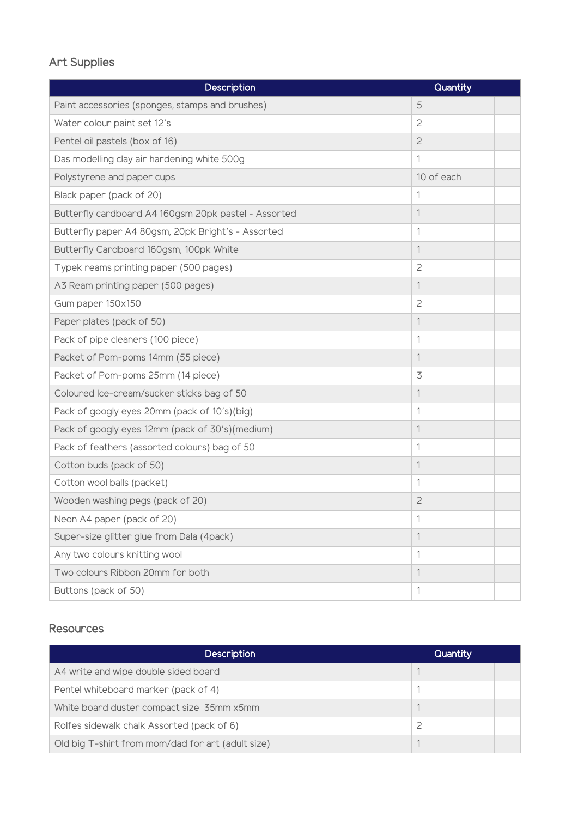## Art Supplies

| Description                                          | Quantity       |  |
|------------------------------------------------------|----------------|--|
| Paint accessories (sponges, stamps and brushes)      | 5              |  |
| Water colour paint set 12's                          | $\overline{c}$ |  |
| Pentel oil pastels (box of 16)                       | $\overline{c}$ |  |
| Das modelling clay air hardening white 500g          | 1              |  |
| Polystyrene and paper cups                           | 10 of each     |  |
| Black paper (pack of 20)                             | 1              |  |
| Butterfly cardboard A4 160gsm 20pk pastel - Assorted | 1              |  |
| Butterfly paper A4 80gsm, 20pk Bright's - Assorted   | 1              |  |
| Butterfly Cardboard 160gsm, 100pk White              | 1              |  |
| Typek reams printing paper (500 pages)               | $\overline{c}$ |  |
| A3 Ream printing paper (500 pages)                   | 1              |  |
| Gum paper 150x150                                    | $\overline{c}$ |  |
| Paper plates (pack of 50)                            | 1              |  |
| Pack of pipe cleaners (100 piece)                    | 1              |  |
| Packet of Pom-poms 14mm (55 piece)                   | 1              |  |
| Packet of Pom-poms 25mm (14 piece)                   | 3              |  |
| Coloured Ice-cream/sucker sticks bag of 50           | 1              |  |
| Pack of googly eyes 20mm (pack of 10's)(big)         | 1              |  |
| Pack of googly eyes 12mm (pack of 30's)(medium)      | 1              |  |
| Pack of feathers (assorted colours) bag of 50        | 1              |  |
| Cotton buds (pack of 50)                             | 1              |  |
| Cotton wool balls (packet)                           | 1              |  |
| Wooden washing pegs (pack of 20)                     | $\overline{c}$ |  |
| Neon A4 paper (pack of 20)                           | 1              |  |
| Super-size glitter glue from Dala (4pack)            | 1              |  |
| Any two colours knitting wool                        | 1              |  |
| Two colours Ribbon 20mm for both                     | 1              |  |
| Buttons (pack of 50)                                 | 1              |  |

### Resources

| <b>Description</b>                                | Quantity |
|---------------------------------------------------|----------|
| A4 write and wipe double sided board              |          |
| Pentel whiteboard marker (pack of 4)              |          |
| White board duster compact size 35mm x5mm         |          |
| Rolfes sidewalk chalk Assorted (pack of 6)        |          |
| Old big T-shirt from mom/dad for art (adult size) |          |